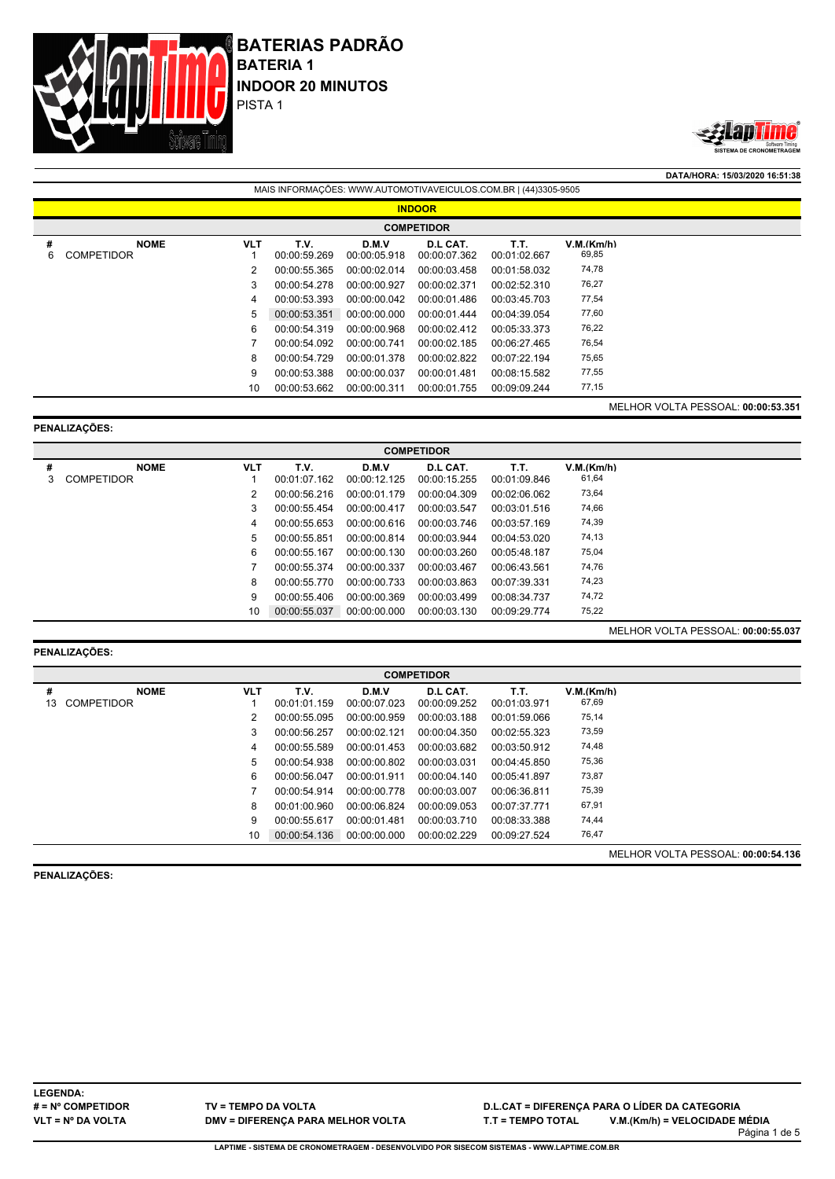



**DATA/HORA: 15/03/2020 16:51:38** MAIS INFORMAÇÕES: WWW.AUTOMOTIVAVEICULOS.COM.BR | (44)3305-9505

|        | <b>INDOOR</b>                    |            |                      |                       |                          |                      |                     |                                    |  |  |  |  |  |
|--------|----------------------------------|------------|----------------------|-----------------------|--------------------------|----------------------|---------------------|------------------------------------|--|--|--|--|--|
|        | <b>COMPETIDOR</b>                |            |                      |                       |                          |                      |                     |                                    |  |  |  |  |  |
| #<br>6 | <b>NOME</b><br><b>COMPETIDOR</b> | <b>VLT</b> | T.V.<br>00:00:59.269 | D.M.V<br>00:00:05.918 | D.L CAT.<br>00:00:07.362 | T.T.<br>00:01:02.667 | V.M.(Km/h)<br>69,85 |                                    |  |  |  |  |  |
|        |                                  |            | 00:00:55.365         | 00:00:02.014          | 00:00:03.458             | 00:01:58.032         | 74,78               |                                    |  |  |  |  |  |
|        |                                  | 3          | 00:00:54.278         | 00:00:00.927          | 00:00:02.371             | 00:02:52.310         | 76,27               |                                    |  |  |  |  |  |
|        |                                  | 4          | 00:00:53.393         | 00:00:00.042          | 00:00:01.486             | 00:03:45.703         | 77,54               |                                    |  |  |  |  |  |
|        |                                  | 5          | 00:00:53.351         | 00:00:00.000          | 00:00:01.444             | 00:04:39.054         | 77,60               |                                    |  |  |  |  |  |
|        |                                  | 6          | 00:00:54.319         | 00:00:00.968          | 00:00:02.412             | 00:05:33.373         | 76,22               |                                    |  |  |  |  |  |
|        |                                  |            | 00:00:54.092         | 00:00:00.741          | 00:00:02.185             | 00:06:27.465         | 76,54               |                                    |  |  |  |  |  |
|        |                                  | 8          | 00:00:54.729         | 00:00:01.378          | 00:00:02.822             | 00:07:22.194         | 75,65               |                                    |  |  |  |  |  |
|        |                                  | 9          | 00:00:53.388         | 00:00:00.037          | 00:00:01.481             | 00:08:15.582         | 77,55               |                                    |  |  |  |  |  |
|        |                                  | 10         | 00:00:53.662         | 00:00:00.311          | 00:00:01.755             | 00:09:09.244         | 77,15               |                                    |  |  |  |  |  |
|        |                                  |            |                      |                       |                          |                      |                     | MELHOR VOLTA PESSOAL: 00:00:53.351 |  |  |  |  |  |

### **PENALIZAÇÕES:**

|        | <b>COMPETIDOR</b>                |            |                      |                       |                          |                      |                     |                                           |  |  |  |  |  |
|--------|----------------------------------|------------|----------------------|-----------------------|--------------------------|----------------------|---------------------|-------------------------------------------|--|--|--|--|--|
| #<br>3 | <b>NOME</b><br><b>COMPETIDOR</b> | <b>VLT</b> | T.V.<br>00:01:07.162 | D.M.V<br>00:00:12.125 | D.L CAT.<br>00:00:15.255 | T.T.<br>00:01:09.846 | V.M.(Km/h)<br>61,64 |                                           |  |  |  |  |  |
|        |                                  |            | 00:00:56.216         | 00:00:01.179          | 00:00:04.309             | 00:02:06.062         | 73,64               |                                           |  |  |  |  |  |
|        |                                  | 3          | 00:00:55.454         | 00:00:00.417          | 00:00:03.547             | 00:03:01.516         | 74,66               |                                           |  |  |  |  |  |
|        |                                  | 4          | 00:00:55.653         | 00:00:00.616          | 00:00:03.746             | 00:03:57.169         | 74,39               |                                           |  |  |  |  |  |
|        |                                  | 5          | 00:00:55.851         | 00:00:00.814          | 00:00:03.944             | 00:04:53.020         | 74,13               |                                           |  |  |  |  |  |
|        |                                  | 6          | 00:00:55.167         | 00:00:00.130          | 00:00:03.260             | 00:05:48.187         | 75,04               |                                           |  |  |  |  |  |
|        |                                  |            | 00:00:55.374         | 00:00:00.337          | 00:00:03.467             | 00:06:43.561         | 74,76               |                                           |  |  |  |  |  |
|        |                                  | 8          | 00:00:55.770         | 00:00:00.733          | 00:00:03.863             | 00:07:39.331         | 74,23               |                                           |  |  |  |  |  |
|        |                                  | 9          | 00:00:55.406         | 00:00:00.369          | 00:00:03.499             | 00:08:34.737         | 74,72               |                                           |  |  |  |  |  |
|        |                                  | 10         | 00:00:55.037         | 00:00:00.000          | 00:00:03.130             | 00:09:29.774         | 75,22               |                                           |  |  |  |  |  |
|        |                                  |            |                      |                       |                          |                      |                     | <b>MELHOR VOLTA PESSOAL: 00:00:55.037</b> |  |  |  |  |  |

# **PENALIZAÇÕES:**

|         | <b>COMPETIDOR</b>                |            |                      |                       |                          |                      |                     |                                    |  |  |  |  |  |
|---------|----------------------------------|------------|----------------------|-----------------------|--------------------------|----------------------|---------------------|------------------------------------|--|--|--|--|--|
| #<br>13 | <b>NOME</b><br><b>COMPETIDOR</b> | <b>VLT</b> | T.V.<br>00:01:01.159 | D.M.V<br>00:00:07.023 | D.L CAT.<br>00:00:09.252 | T.T.<br>00:01:03.971 | V.M.(Km/h)<br>67,69 |                                    |  |  |  |  |  |
|         |                                  |            | 00:00:55.095         | 00:00:00.959          | 00:00:03.188             | 00:01:59.066         | 75,14               |                                    |  |  |  |  |  |
|         |                                  | 3          | 00:00:56.257         | 00:00:02.121          | 00:00:04.350             | 00:02:55.323         | 73,59               |                                    |  |  |  |  |  |
|         |                                  | 4          | 00:00:55.589         | 00:00:01.453          | 00:00:03.682             | 00:03:50.912         | 74,48               |                                    |  |  |  |  |  |
|         |                                  | 5          | 00:00:54.938         | 00:00:00.802          | 00:00:03.031             | 00:04:45.850         | 75,36               |                                    |  |  |  |  |  |
|         |                                  | 6          | 00:00:56.047         | 00:00:01.911          | 00:00:04.140             | 00:05:41.897         | 73,87               |                                    |  |  |  |  |  |
|         |                                  |            | 00:00:54.914         | 00:00:00.778          | 00:00:03.007             | 00:06:36.811         | 75,39               |                                    |  |  |  |  |  |
|         |                                  | 8          | 00:01:00.960         | 00:00:06.824          | 00:00:09.053             | 00:07:37.771         | 67,91               |                                    |  |  |  |  |  |
|         |                                  | 9          | 00:00:55.617         | 00:00:01.481          | 00:00:03.710             | 00:08:33.388         | 74,44               |                                    |  |  |  |  |  |
|         |                                  | 10         | 00:00:54.136         | 00:00:00.000          | 00:00:02.229             | 00:09:27.524         | 76,47               |                                    |  |  |  |  |  |
|         |                                  |            |                      |                       |                          |                      |                     | MELHOR VOLTA PESSOAL: 00:00:54.136 |  |  |  |  |  |

**PENALIZAÇÕES:**

**LEGENDA: # = Nº COMPETIDOR VLT = Nº DA VOLTA**

**TV = TEMPO DA VOLTA DMV = DIFERENÇA PARA MELHOR VOLTA**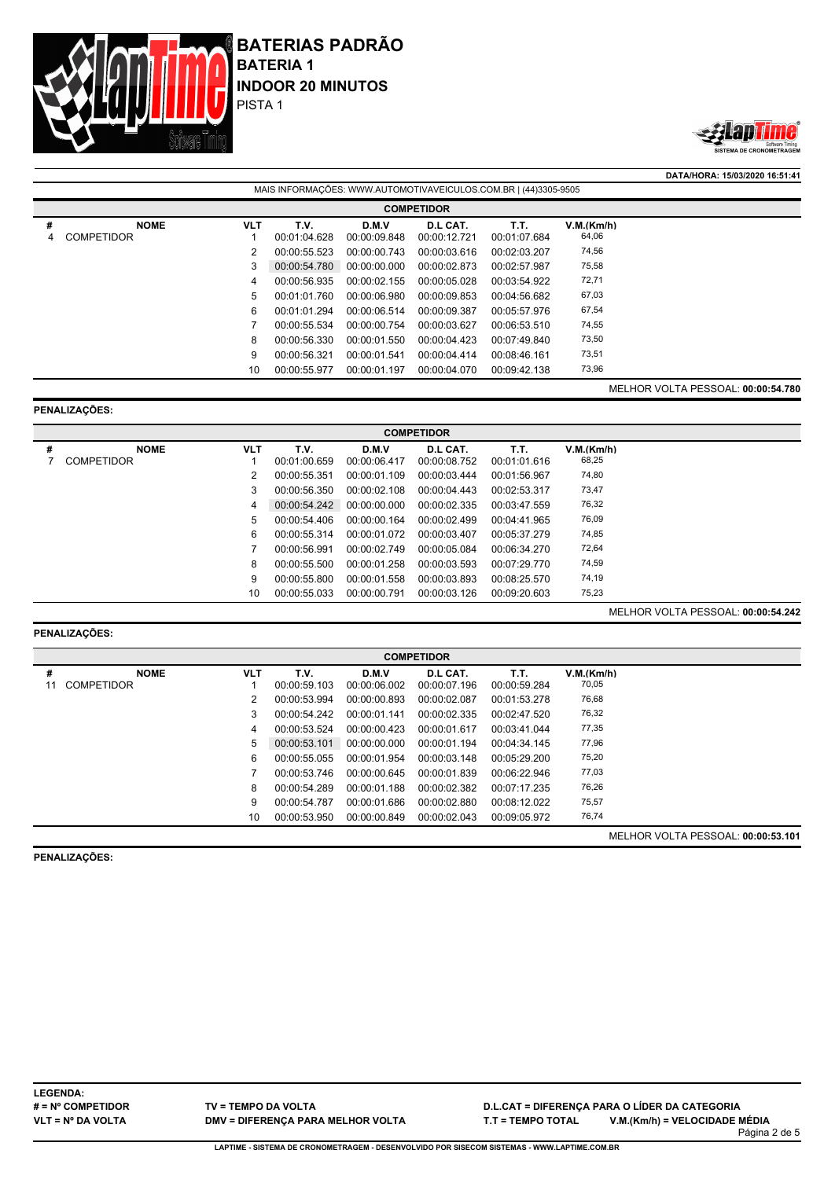



**DATA/HORA: 15/03/2020 16:51:41** MAIS INFORMAÇÕES: WWW.AUTOMOTIVAVEICULOS.COM.BR | (44)3305-9505 **COMPETIDOR # NOME VLT T.V. D.M.V D.L CAT. T.T. V.M.(Km/h)** 4 COMPETIDOR 1 00:01:04.628 00:00:09.848 00:00:12.721 00:01:07.684 64,06 00:00:55.523 00:00:00.743 00:00:03.616 00:02:03.207 74,56 00:00:54.780 00:00:00.000 00:00:02.873 00:02:57.987 75,58 00:00:56.935 00:00:02.155 00:00:05.028 00:03:54.922 72,71 00:01:01.760 00:00:06.980 00:00:09.853 00:04:56.682 67,03 00:01:01.294 00:00:06.514 00:00:09.387 00:05:57.976 67,54 00:00:55.534 00:00:00.754 00:00:03.627 00:06:53.510 74,55 00:00:56.330 00:00:01.550 00:00:04.423 00:07:49.840 73,50 00:00:56.321 00:00:01.541 00:00:04.414 00:08:46.161 73,51 00:00:55.977 00:00:01.197 00:00:04.070 00:09:42.138 73,96 MELHOR VOLTA PESSOAL: **00:00:54.780**

### **PENALIZAÇÕES:**

|   | <b>COMPETIDOR</b> |            |              |              |              |              |            |  |  |  |  |  |  |
|---|-------------------|------------|--------------|--------------|--------------|--------------|------------|--|--|--|--|--|--|
| # | <b>NOME</b>       | <b>VLT</b> | T.V.         | D.M.V        | D.L CAT.     | T.T.         | V.M.(Km/h) |  |  |  |  |  |  |
|   | <b>COMPETIDOR</b> |            | 00:01:00.659 | 00:00:06.417 | 00:00:08.752 | 00:01:01.616 | 68,25      |  |  |  |  |  |  |
|   |                   | 2          | 00:00:55.351 | 00:00:01.109 | 00:00:03.444 | 00:01:56.967 | 74,80      |  |  |  |  |  |  |
|   |                   | 3          | 00:00:56.350 | 00:00:02.108 | 00:00:04.443 | 00:02:53.317 | 73,47      |  |  |  |  |  |  |
|   |                   | 4          | 00:00:54.242 | 00:00:00.000 | 00:00:02.335 | 00:03:47.559 | 76,32      |  |  |  |  |  |  |
|   |                   | 5          | 00:00:54.406 | 00:00:00.164 | 00:00:02.499 | 00:04:41.965 | 76,09      |  |  |  |  |  |  |
|   |                   | 6          | 00:00:55.314 | 00:00:01.072 | 00:00:03.407 | 00:05:37.279 | 74,85      |  |  |  |  |  |  |
|   |                   |            | 00:00:56.991 | 00:00:02.749 | 00:00:05.084 | 00:06:34.270 | 72,64      |  |  |  |  |  |  |
|   |                   | 8          | 00:00:55.500 | 00:00:01.258 | 00:00:03.593 | 00:07:29.770 | 74,59      |  |  |  |  |  |  |
|   |                   | 9          | 00:00:55.800 | 00:00:01.558 | 00:00:03.893 | 00:08:25.570 | 74,19      |  |  |  |  |  |  |
|   |                   | 10         | 00:00:55.033 | 00:00:00.791 | 00:00:03.126 | 00:09:20.603 | 75,23      |  |  |  |  |  |  |

### **PENALIZAÇÕES:**

|    | <b>COMPETIDOR</b> |            |              |              |              |              |            |                           |  |  |  |  |
|----|-------------------|------------|--------------|--------------|--------------|--------------|------------|---------------------------|--|--|--|--|
| #  | <b>NOME</b>       | <b>VLT</b> | T.V.         | D.M.V        | D.L CAT.     | T.T.         | V.M.(Km/h) |                           |  |  |  |  |
| 11 | <b>COMPETIDOR</b> |            | 00:00:59.103 | 00:00:06.002 | 00:00:07.196 | 00:00:59.284 | 70,05      |                           |  |  |  |  |
|    |                   |            | 00:00:53.994 | 00:00:00.893 | 00:00:02.087 | 00:01:53.278 | 76,68      |                           |  |  |  |  |
|    |                   | 3          | 00:00:54.242 | 00:00:01.141 | 00:00:02.335 | 00:02:47.520 | 76,32      |                           |  |  |  |  |
|    |                   | 4          | 00:00:53.524 | 00:00:00.423 | 00:00:01.617 | 00:03:41.044 | 77,35      |                           |  |  |  |  |
|    |                   | 5          | 00:00:53.101 | 00:00:00.000 | 00:00:01.194 | 00:04:34.145 | 77,96      |                           |  |  |  |  |
|    |                   | 6          | 00:00:55.055 | 00:00:01.954 | 00:00:03.148 | 00:05:29.200 | 75,20      |                           |  |  |  |  |
|    |                   |            | 00:00:53.746 | 00:00:00.645 | 00:00:01.839 | 00:06:22.946 | 77,03      |                           |  |  |  |  |
|    |                   | 8          | 00:00:54.289 | 00:00:01.188 | 00:00:02.382 | 00:07:17.235 | 76,26      |                           |  |  |  |  |
|    |                   | 9          | 00:00:54.787 | 00:00:01.686 | 00:00:02.880 | 00:08:12.022 | 75,57      |                           |  |  |  |  |
|    |                   | 10         | 00:00:53.950 | 00:00:00.849 | 00:00:02.043 | 00:09:05.972 | 76,74      |                           |  |  |  |  |
|    |                   |            |              |              |              |              |            | 1171110011017100001100001 |  |  |  |  |

**PENALIZAÇÕES:**

MELHOR VOLTA PESSOAL: **00:00:53.101**

MELHOR VOLTA PESSOAL: **00:00:54.242**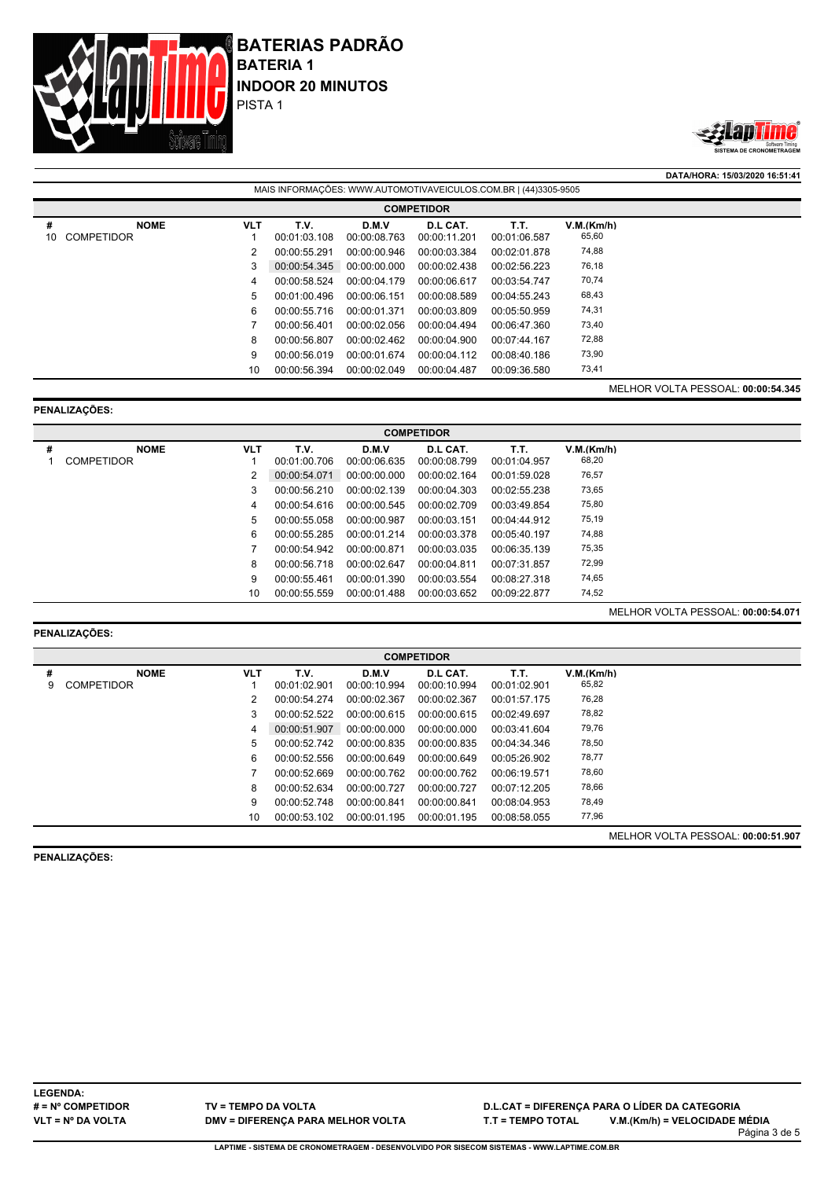



**DATA/HORA: 15/03/2020 16:51:41** MAIS INFORMAÇÕES: WWW.AUTOMOTIVAVEICULOS.COM.BR | (44)3305-9505 **COMPETIDOR # NOME VLT T.V. D.M.V D.L CAT. T.T. V.M.(Km/h)** 10 COMPETIDOR 1 00:01:03.108 00:00:08.763 00:00:11.201 00:01:06.587 65,60 00:00:55.291 00:00:00.946 00:00:03.384 00:02:01.878 74,88 00:00:54.345 00:00:00.000 00:00:02.438 00:02:56.223 76,18 00:00:58.524 00:00:04.179 00:00:06.617 00:03:54.747 70,74 00:01:00.496 00:00:06.151 00:00:08.589 00:04:55.243 68,43 00:00:55.716 00:00:01.371 00:00:03.809 00:05:50.959 74,31 00:00:56.401 00:00:02.056 00:00:04.494 00:06:47.360 73,40 00:00:56.807 00:00:02.462 00:00:04.900 00:07:44.167 72,88 00:00:56.019 00:00:01.674 00:00:04.112 00:08:40.186 73,90 00:00:56.394 00:00:02.049 00:00:04.487 00:09:36.580 73,41 MELHOR VOLTA PESSOAL: **00:00:54.345**

### **PENALIZAÇÕES:**

|   | <b>COMPETIDOR</b> |            |              |              |              |              |            |  |  |  |  |  |  |
|---|-------------------|------------|--------------|--------------|--------------|--------------|------------|--|--|--|--|--|--|
| # | <b>NOME</b>       | <b>VLT</b> | T.V.         | D.M.V        | D.L CAT.     | T.T.         | V.M.(Km/h) |  |  |  |  |  |  |
|   | <b>COMPETIDOR</b> |            | 00:01:00.706 | 00:00:06.635 | 00:00:08.799 | 00:01:04.957 | 68,20      |  |  |  |  |  |  |
|   |                   | 2          | 00:00:54.071 | 00:00:00.000 | 00:00:02.164 | 00:01:59.028 | 76,57      |  |  |  |  |  |  |
|   |                   | 3          | 00:00:56.210 | 00:00:02.139 | 00:00:04.303 | 00:02:55.238 | 73,65      |  |  |  |  |  |  |
|   |                   | 4          | 00:00:54.616 | 00:00:00.545 | 00:00:02.709 | 00:03:49.854 | 75,80      |  |  |  |  |  |  |
|   |                   | 5          | 00:00:55.058 | 00:00:00.987 | 00:00:03.151 | 00:04:44.912 | 75,19      |  |  |  |  |  |  |
|   |                   | 6          | 00:00:55.285 | 00:00:01.214 | 00:00:03.378 | 00:05:40.197 | 74,88      |  |  |  |  |  |  |
|   |                   |            | 00:00:54.942 | 00:00:00.871 | 00:00:03.035 | 00:06:35.139 | 75,35      |  |  |  |  |  |  |
|   |                   | 8          | 00:00:56.718 | 00:00:02.647 | 00:00:04.811 | 00:07:31.857 | 72,99      |  |  |  |  |  |  |
|   |                   | 9          | 00:00:55.461 | 00:00:01.390 | 00:00:03.554 | 00:08:27.318 | 74,65      |  |  |  |  |  |  |
|   |                   | 10         | 00:00:55.559 | 00:00:01.488 | 00:00:03.652 | 00:09:22.877 | 74,52      |  |  |  |  |  |  |

### **PENALIZAÇÕES:**

|   | <b>COMPETIDOR</b> |            |              |              |              |              |            |  |  |  |  |  |  |
|---|-------------------|------------|--------------|--------------|--------------|--------------|------------|--|--|--|--|--|--|
| # | <b>NOME</b>       | <b>VLT</b> | T.V.         | D.M.V        | D.L CAT.     | T.T.         | V.M.(Km/h) |  |  |  |  |  |  |
| 9 | <b>COMPETIDOR</b> |            | 00:01:02.901 | 00:00:10.994 | 00:00:10.994 | 00:01:02.901 | 65,82      |  |  |  |  |  |  |
|   |                   | 2          | 00:00:54.274 | 00:00:02.367 | 00:00:02.367 | 00:01:57.175 | 76,28      |  |  |  |  |  |  |
|   |                   | 3          | 00:00:52.522 | 00:00:00.615 | 00:00:00.615 | 00:02:49.697 | 78,82      |  |  |  |  |  |  |
|   |                   | 4          | 00:00:51.907 | 00:00:00.000 | 00:00:00.000 | 00:03:41.604 | 79,76      |  |  |  |  |  |  |
|   |                   | 5.         | 00:00:52.742 | 00:00:00.835 | 00:00:00.835 | 00:04:34.346 | 78,50      |  |  |  |  |  |  |
|   |                   | 6          | 00:00:52.556 | 00:00:00.649 | 00:00:00.649 | 00:05:26.902 | 78,77      |  |  |  |  |  |  |
|   |                   |            | 00:00:52.669 | 00:00:00.762 | 00:00:00.762 | 00:06:19.571 | 78,60      |  |  |  |  |  |  |
|   |                   | 8          | 00:00:52.634 | 00:00:00.727 | 00:00:00.727 | 00:07:12.205 | 78,66      |  |  |  |  |  |  |
|   |                   | 9          | 00:00:52.748 | 00:00:00.841 | 00:00:00.841 | 00:08:04.953 | 78,49      |  |  |  |  |  |  |
|   |                   | 10         | 00:00:53.102 | 00:00:01.195 | 00:00:01.195 | 00:08:58.055 | 77,96      |  |  |  |  |  |  |
|   |                   |            |              |              |              |              |            |  |  |  |  |  |  |

**PENALIZAÇÕES:**

MELHOR VOLTA PESSOAL: **00:00:51.907**

MELHOR VOLTA PESSOAL: **00:00:54.071**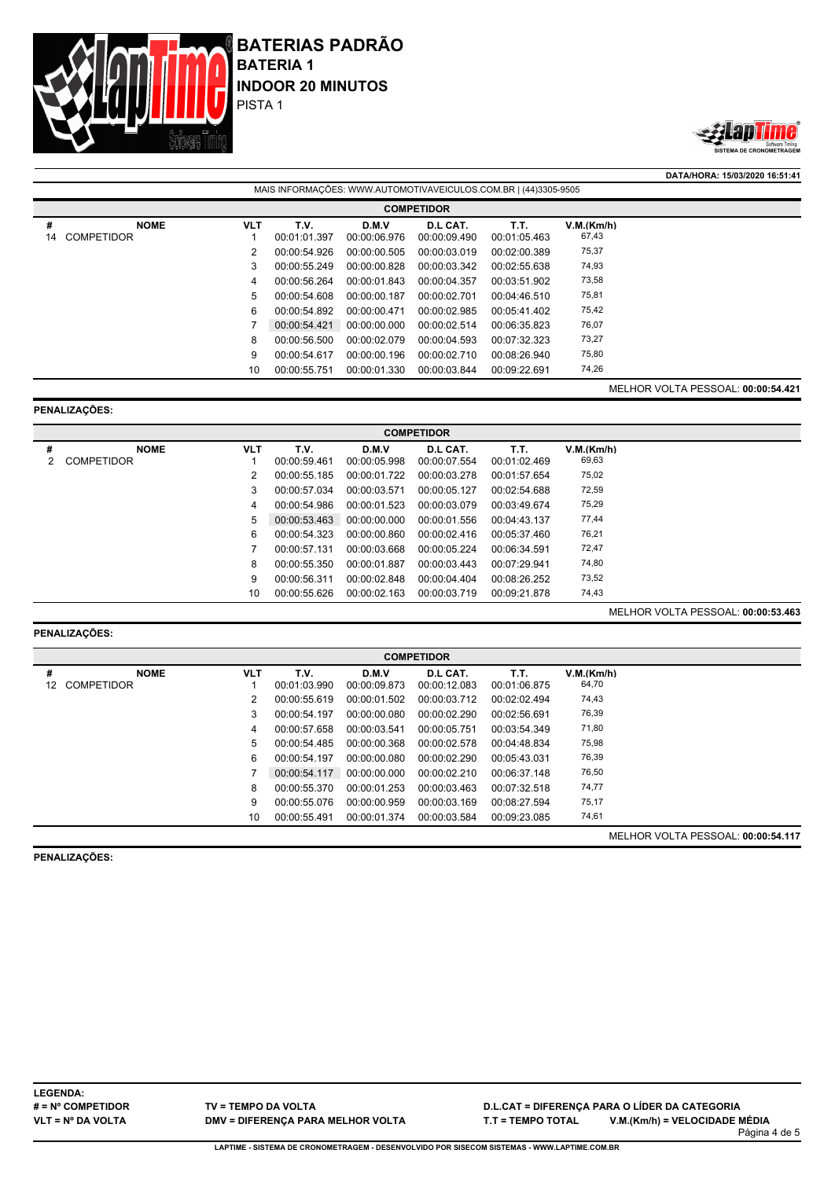



**DATA/HORA: 15/03/2020 16:51:41**

|         | MAIS INFORMAÇÕES: WWW.AUTOMOTIVAVEICULOS.COM.BR   (44)3305-9505 |            |                      |                       |                          |                      |                     |                                    |  |  |  |  |
|---------|-----------------------------------------------------------------|------------|----------------------|-----------------------|--------------------------|----------------------|---------------------|------------------------------------|--|--|--|--|
|         | <b>COMPETIDOR</b>                                               |            |                      |                       |                          |                      |                     |                                    |  |  |  |  |
| #<br>14 | <b>NOME</b><br><b>COMPETIDOR</b>                                | <b>VLT</b> | T.V.<br>00:01:01.397 | D.M.V<br>00:00:06.976 | D.L CAT.<br>00:00:09.490 | Т.Т.<br>00:01:05.463 | V.M.(Km/h)<br>67,43 |                                    |  |  |  |  |
|         |                                                                 | 2          | 00:00:54.926         | 00:00:00.505          | 00:00:03.019             | 00:02:00.389         | 75,37               |                                    |  |  |  |  |
|         |                                                                 | 3          | 00:00:55.249         | 00:00:00.828          | 00:00:03.342             | 00:02:55.638         | 74,93               |                                    |  |  |  |  |
|         |                                                                 | 4          | 00:00:56.264         | 00:00:01.843          | 00:00:04.357             | 00:03:51.902         | 73,58               |                                    |  |  |  |  |
|         |                                                                 | 5          | 00:00:54.608         | 00:00:00.187          | 00:00:02.701             | 00:04:46.510         | 75,81               |                                    |  |  |  |  |
|         |                                                                 | 6          | 00:00:54.892         | 00:00:00.471          | 00:00:02.985             | 00:05:41.402         | 75,42               |                                    |  |  |  |  |
|         |                                                                 |            | 00:00:54.421         | 00:00:00.000          | 00:00:02.514             | 00:06:35.823         | 76,07               |                                    |  |  |  |  |
|         |                                                                 | 8          | 00:00:56.500         | 00:00:02.079          | 00:00:04.593             | 00:07:32.323         | 73,27               |                                    |  |  |  |  |
|         |                                                                 | 9          | 00:00:54.617         | 00:00:00.196          | 00:00:02.710             | 00:08:26.940         | 75,80               |                                    |  |  |  |  |
|         |                                                                 | 10         | 00:00:55.751         | 00:00:01.330          | 00:00:03.844             | 00:09:22.691         | 74,26               |                                    |  |  |  |  |
|         |                                                                 |            |                      |                       |                          |                      |                     | MELHOR VOLTA PESSOAL: 00:00:54.421 |  |  |  |  |

# **PENALIZAÇÕES:**

|   | <b>COMPETIDOR</b> |            |              |              |              |              |            |  |  |  |  |  |  |
|---|-------------------|------------|--------------|--------------|--------------|--------------|------------|--|--|--|--|--|--|
| # | <b>NOME</b>       | <b>VLT</b> | T.V.         | D.M.V        | D.L CAT.     | Т.Т.         | V.M.(Km/h) |  |  |  |  |  |  |
|   | <b>COMPETIDOR</b> |            | 00:00:59.461 | 00:00:05.998 | 00:00:07.554 | 00:01:02.469 | 69,63      |  |  |  |  |  |  |
|   |                   |            | 00:00:55.185 | 00:00:01.722 | 00:00:03.278 | 00:01:57.654 | 75,02      |  |  |  |  |  |  |
|   |                   | 3          | 00:00:57.034 | 00:00:03.571 | 00:00:05.127 | 00:02:54.688 | 72,59      |  |  |  |  |  |  |
|   |                   | 4          | 00:00:54.986 | 00:00:01.523 | 00:00:03.079 | 00:03:49.674 | 75,29      |  |  |  |  |  |  |
|   |                   | 5          | 00:00:53.463 | 00:00:00.000 | 00:00:01.556 | 00:04:43.137 | 77,44      |  |  |  |  |  |  |
|   |                   | 6          | 00:00:54.323 | 00:00:00.860 | 00:00:02.416 | 00:05:37.460 | 76,21      |  |  |  |  |  |  |
|   |                   |            | 00:00:57.131 | 00:00:03.668 | 00:00:05.224 | 00:06:34.591 | 72,47      |  |  |  |  |  |  |
|   |                   | 8          | 00:00:55.350 | 00:00:01.887 | 00:00:03.443 | 00:07:29.941 | 74,80      |  |  |  |  |  |  |
|   |                   | 9          | 00:00:56.311 | 00:00:02.848 | 00:00:04.404 | 00:08:26.252 | 73,52      |  |  |  |  |  |  |
|   |                   | 10         | 00:00:55.626 | 00:00:02.163 | 00:00:03.719 | 00:09:21.878 | 74,43      |  |  |  |  |  |  |

# **PENALIZAÇÕES:**

|    | <b>COMPETIDOR</b> |            |              |              |              |              |            |                                    |  |  |  |  |
|----|-------------------|------------|--------------|--------------|--------------|--------------|------------|------------------------------------|--|--|--|--|
| #  | <b>NOME</b>       | <b>VLT</b> | T.V.         | D.M.V        | D.L CAT.     | T.T.         | V.M.(Km/h) |                                    |  |  |  |  |
| 12 | <b>COMPETIDOR</b> |            | 00:01:03.990 | 00:00:09.873 | 00:00:12.083 | 00:01:06.875 | 64,70      |                                    |  |  |  |  |
|    |                   |            | 00:00:55.619 | 00:00:01.502 | 00:00:03.712 | 00:02:02.494 | 74,43      |                                    |  |  |  |  |
|    |                   | 3          | 00:00:54.197 | 00:00:00.080 | 00:00:02.290 | 00:02:56.691 | 76,39      |                                    |  |  |  |  |
|    |                   | 4          | 00:00:57.658 | 00:00:03.541 | 00:00:05.751 | 00:03:54.349 | 71,80      |                                    |  |  |  |  |
|    |                   | 5          | 00:00:54.485 | 00:00:00.368 | 00:00:02.578 | 00:04:48.834 | 75,98      |                                    |  |  |  |  |
|    |                   | 6          | 00:00:54.197 | 00:00:00.080 | 00:00:02.290 | 00:05:43.031 | 76,39      |                                    |  |  |  |  |
|    |                   |            | 00:00:54.117 | 00:00:00.000 | 00:00:02.210 | 00:06:37.148 | 76,50      |                                    |  |  |  |  |
|    |                   | 8          | 00:00:55.370 | 00:00:01.253 | 00:00:03.463 | 00:07:32.518 | 74,77      |                                    |  |  |  |  |
|    |                   | 9          | 00:00:55.076 | 00:00:00.959 | 00:00:03.169 | 00:08:27.594 | 75,17      |                                    |  |  |  |  |
|    |                   | 10         | 00:00:55.491 | 00:00:01.374 | 00:00:03.584 | 00:09:23.085 | 74,61      |                                    |  |  |  |  |
|    |                   |            |              |              |              |              |            | MELHOR VOLTA PESSOAL: 00:00:54.117 |  |  |  |  |

**PENALIZAÇÕES:**

MELHOR VOLTA PESSOAL: **00:00:53.463**